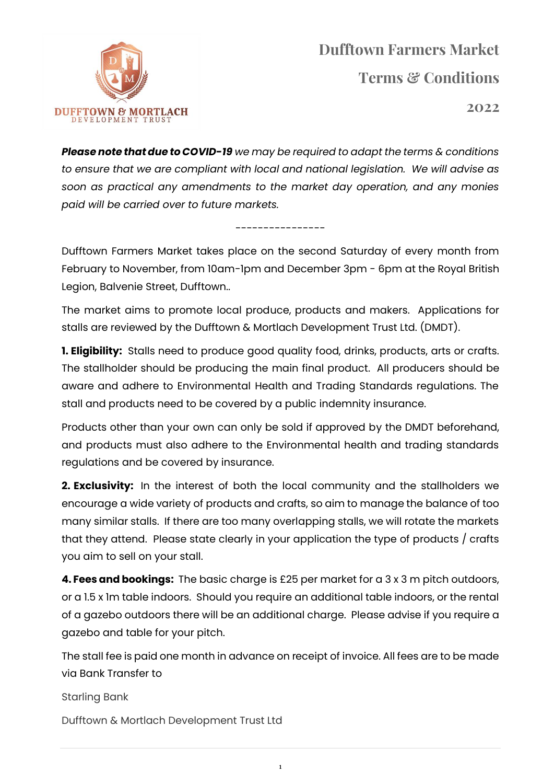

**2022**

*Please note that due to COVID-19 we may be required to adapt the terms & conditions to ensure that we are compliant with local and national legislation. We will advise as soon as practical any amendments to the market day operation, and any monies paid will be carried over to future markets.*

## Dufftown Farmers Market takes place on the second Saturday of every month from February to November, from 10am-1pm and December 3pm - 6pm at the Royal British Legion, Balvenie Street, Dufftown..

----------------

The market aims to promote local produce, products and makers. Applications for stalls are reviewed by the Dufftown & Mortlach Development Trust Ltd. (DMDT).

**1. Eligibility:** Stalls need to produce good quality food, drinks, products, arts or crafts. The stallholder should be producing the main final product. All producers should be aware and adhere to Environmental Health and Trading Standards regulations. The stall and products need to be covered by a public indemnity insurance.

Products other than your own can only be sold if approved by the DMDT beforehand, and products must also adhere to the Environmental health and trading standards regulations and be covered by insurance.

**2. Exclusivity:** In the interest of both the local community and the stallholders we encourage a wide variety of products and crafts, so aim to manage the balance of too many similar stalls. If there are too many overlapping stalls, we will rotate the markets that they attend. Please state clearly in your application the type of products / crafts you aim to sell on your stall.

**4. Fees and bookings:** The basic charge is £25 per market for a 3 x 3 m pitch outdoors, or a 1.5 x 1m table indoors. Should you require an additional table indoors, or the rental of a gazebo outdoors there will be an additional charge. Please advise if you require a gazebo and table for your pitch.

The stall fee is paid one month in advance on receipt of invoice. All fees are to be made via Bank Transfer to

1

Starling Bank

Dufftown & Mortlach Development Trust Ltd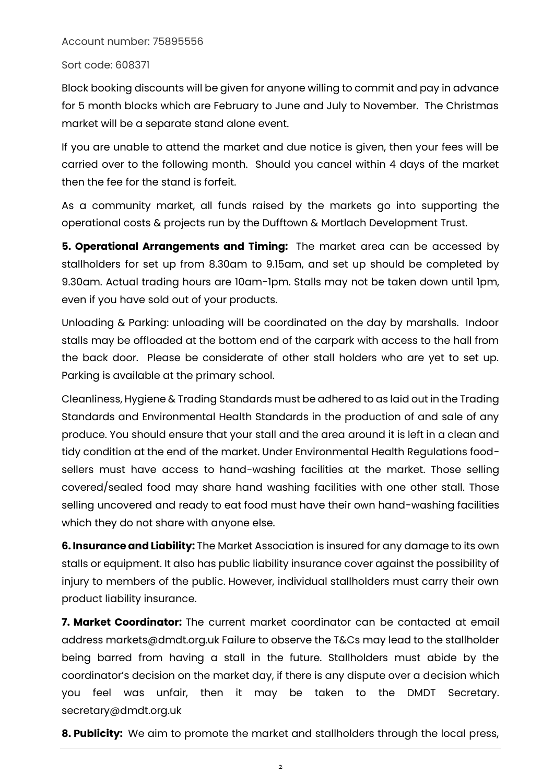## Account number: 75895556

## Sort code: 608371

Block booking discounts will be given for anyone willing to commit and pay in advance for 5 month blocks which are February to June and July to November. The Christmas market will be a separate stand alone event.

If you are unable to attend the market and due notice is given, then your fees will be carried over to the following month. Should you cancel within 4 days of the market then the fee for the stand is forfeit.

As a community market, all funds raised by the markets go into supporting the operational costs & projects run by the Dufftown & Mortlach Development Trust.

**5. Operational Arrangements and Timing:** The market area can be accessed by stallholders for set up from 8.30am to 9.15am, and set up should be completed by 9.30am. Actual trading hours are 10am-1pm. Stalls may not be taken down until 1pm, even if you have sold out of your products.

Unloading & Parking: unloading will be coordinated on the day by marshalls. Indoor stalls may be offloaded at the bottom end of the carpark with access to the hall from the back door. Please be considerate of other stall holders who are yet to set up. Parking is available at the primary school.

Cleanliness, Hygiene & Trading Standards must be adhered to as laid out in the Trading Standards and Environmental Health Standards in the production of and sale of any produce. You should ensure that your stall and the area around it is left in a clean and tidy condition at the end of the market. Under Environmental Health Regulations foodsellers must have access to hand-washing facilities at the market. Those selling covered/sealed food may share hand washing facilities with one other stall. Those selling uncovered and ready to eat food must have their own hand-washing facilities which they do not share with anyone else.

**6. Insurance and Liability:** The Market Association is insured for any damage to its own stalls or equipment. It also has public liability insurance cover against the possibility of injury to members of the public. However, individual stallholders must carry their own product liability insurance.

**7. Market Coordinator:** The current market coordinator can be contacted at email address markets@dmdt.org.uk Failure to observe the T&Cs may lead to the stallholder being barred from having a stall in the future. Stallholders must abide by the coordinator's decision on the market day, if there is any dispute over a decision which you feel was unfair, then it may be taken to the DMDT Secretary. secretary@dmdt.org.uk

**8. Publicity:** We aim to promote the market and stallholders through the local press,